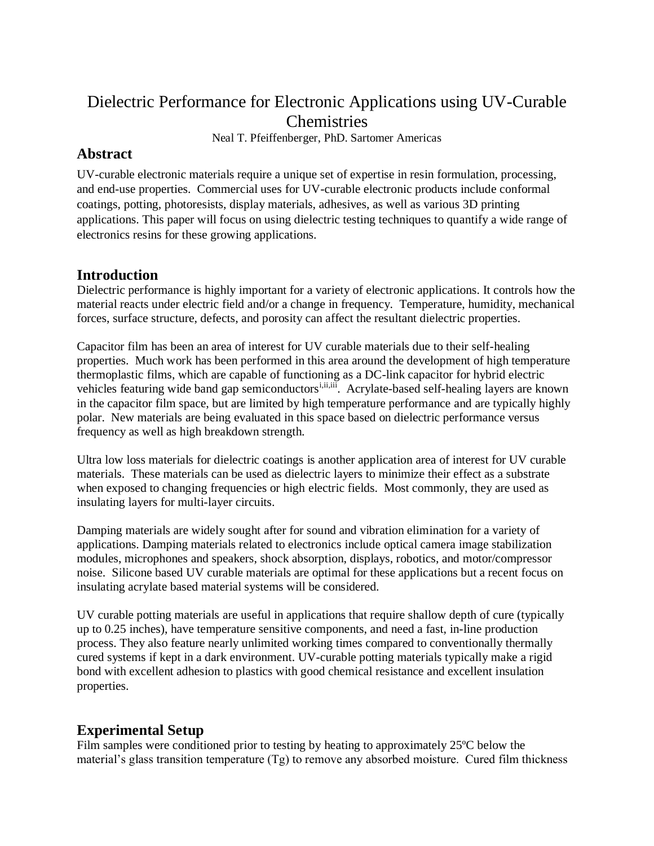# Dielectric Performance for Electronic Applications using UV-Curable Chemistries

Neal T. Pfeiffenberger, PhD. Sartomer Americas

## **Abstract**

UV-curable electronic materials require a unique set of expertise in resin formulation, processing, and end-use properties. Commercial uses for UV-curable electronic products include conformal coatings, potting, photoresists, display materials, adhesives, as well as various 3D printing applications. This paper will focus on using dielectric testing techniques to quantify a wide range of electronics resins for these growing applications.

### **Introduction**

Dielectric performance is highly important for a variety of electronic applications. It controls how the material reacts under electric field and/or a change in frequency. Temperature, humidity, mechanical forces, surface structure, defects, and porosity can affect the resultant dielectric properties.

Capacitor film has been an area of interest for UV curable materials due to their self-healing properties. Much work has been performed in this area around the development of high temperature thermoplastic films, which are capable of functioning as a DC-link capacitor for hybrid electric vehicles featuring wide band gap semiconductors<sup>*i,ii,iii*</sup>. Acrylate-based self-healing layers are known in the capacitor film space, but are limited by high temperature performance and are typically highly polar. New materials are being evaluated in this space based on dielectric performance versus frequency as well as high breakdown strength.

Ultra low loss materials for dielectric coatings is another application area of interest for UV curable materials. These materials can be used as dielectric layers to minimize their effect as a substrate when exposed to changing frequencies or high electric fields. Most commonly, they are used as insulating layers for multi-layer circuits.

Damping materials are widely sought after for sound and vibration elimination for a variety of applications. Damping materials related to electronics include optical camera image stabilization modules, microphones and speakers, shock absorption, displays, robotics, and motor/compressor noise. Silicone based UV curable materials are optimal for these applications but a recent focus on insulating acrylate based material systems will be considered.

UV curable potting materials are useful in applications that require shallow depth of cure (typically up to 0.25 inches), have temperature sensitive components, and need a fast, in-line production process. They also feature nearly unlimited working times compared to conventionally thermally cured systems if kept in a dark environment. UV-curable potting materials typically make a rigid bond with excellent adhesion to plastics with good chemical resistance and excellent insulation properties.

### **Experimental Setup**

Film samples were conditioned prior to testing by heating to approximately 25ºC below the material's glass transition temperature  $(Tg)$  to remove any absorbed moisture. Cured film thickness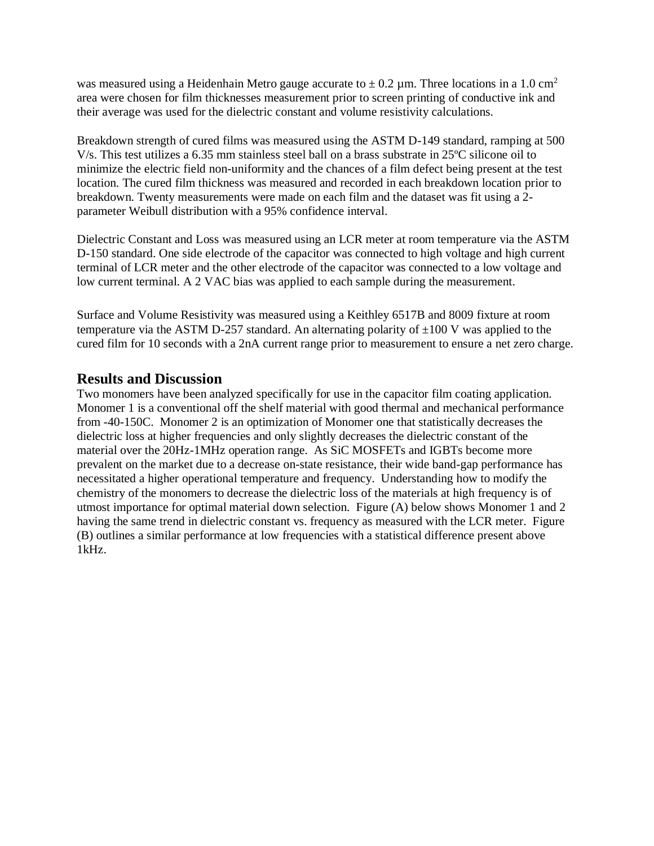was measured using a Heidenhain Metro gauge accurate to  $\pm$  0.2 µm. Three locations in a 1.0 cm<sup>2</sup> area were chosen for film thicknesses measurement prior to screen printing of conductive ink and their average was used for the dielectric constant and volume resistivity calculations.

Breakdown strength of cured films was measured using the ASTM D-149 standard, ramping at 500 V/s. This test utilizes a 6.35 mm stainless steel ball on a brass substrate in 25ºC silicone oil to minimize the electric field non-uniformity and the chances of a film defect being present at the test location. The cured film thickness was measured and recorded in each breakdown location prior to breakdown. Twenty measurements were made on each film and the dataset was fit using a 2 parameter Weibull distribution with a 95% confidence interval.

Dielectric Constant and Loss was measured using an LCR meter at room temperature via the ASTM D-150 standard. One side electrode of the capacitor was connected to high voltage and high current terminal of LCR meter and the other electrode of the capacitor was connected to a low voltage and low current terminal. A 2 VAC bias was applied to each sample during the measurement.

Surface and Volume Resistivity was measured using a Keithley 6517B and 8009 fixture at room temperature via the ASTM D-257 standard. An alternating polarity of  $\pm 100$  V was applied to the cured film for 10 seconds with a 2nA current range prior to measurement to ensure a net zero charge.

#### **Results and Discussion**

Two monomers have been analyzed specifically for use in the capacitor film coating application. Monomer 1 is a conventional off the shelf material with good thermal and mechanical performance from -40-150C. Monomer 2 is an optimization of Monomer one that statistically decreases the dielectric loss at higher frequencies and only slightly decreases the dielectric constant of the material over the 20Hz-1MHz operation range. As SiC MOSFETs and IGBTs become more prevalent on the market due to a decrease on-state resistance, their wide band-gap performance has necessitated a higher operational temperature and frequency. Understanding how to modify the chemistry of the monomers to decrease the dielectric loss of the materials at high frequency is of utmost importance for optimal material down selection. Figure (A) below shows Monomer 1 and 2 having the same trend in dielectric constant vs. frequency as measured with the LCR meter. Figure (B) outlines a similar performance at low frequencies with a statistical difference present above 1kHz.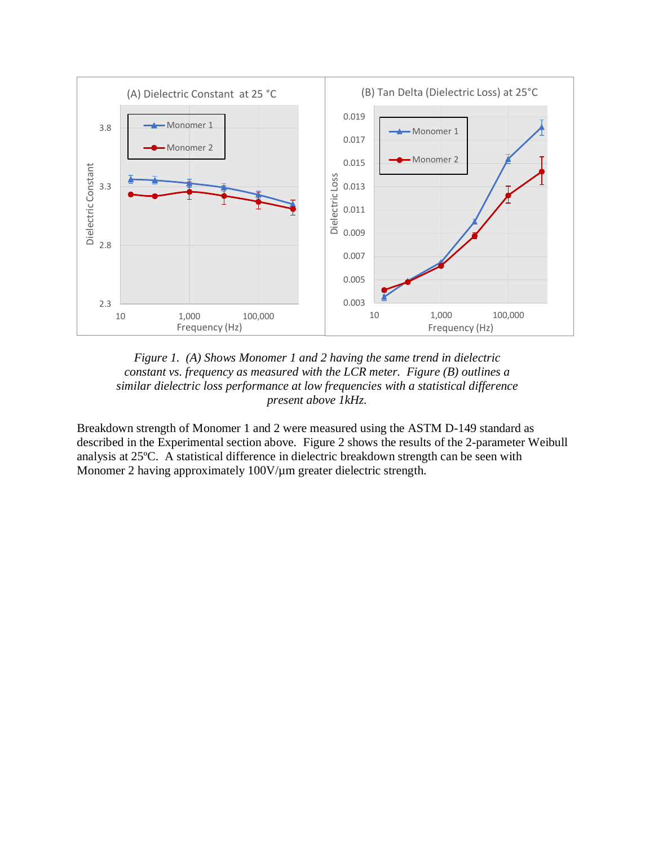



Breakdown strength of Monomer 1 and 2 were measured using the ASTM D-149 standard as described in the Experimental section above. Figure 2 shows the results of the 2-parameter Weibull analysis at 25ºC. A statistical difference in dielectric breakdown strength can be seen with Monomer 2 having approximately 100V/ $\mu$ m greater dielectric strength.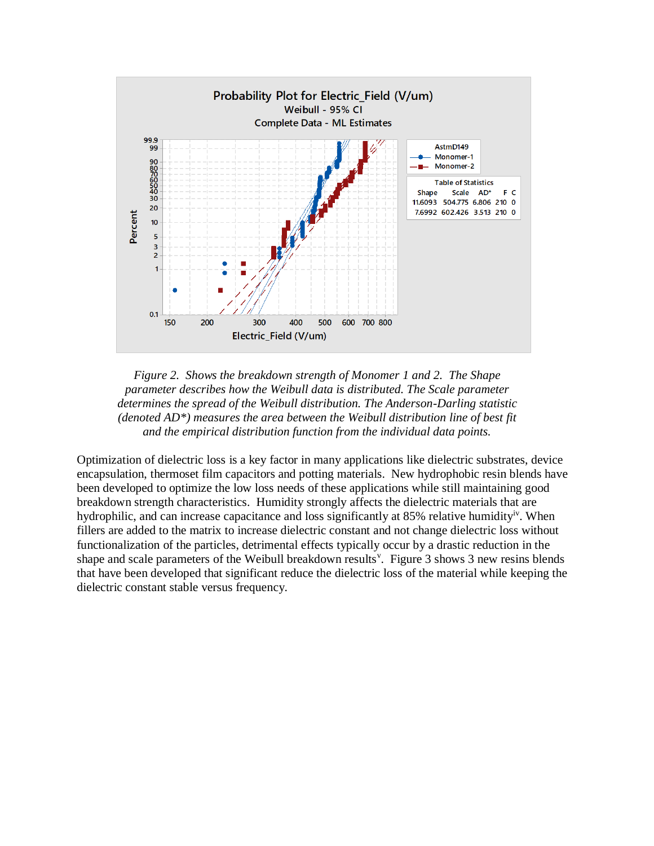



Optimization of dielectric loss is a key factor in many applications like dielectric substrates, device encapsulation, thermoset film capacitors and potting materials. New hydrophobic resin blends have been developed to optimize the low loss needs of these applications while still maintaining good breakdown strength characteristics. Humidity strongly affects the dielectric materials that are hydrophilic, and can increase capacitance and loss significantly at 85% relative humidity<sup>iv</sup>. When fillers are added to the matrix to increase dielectric constant and not change dielectric loss without functionalization of the particles, detrimental effects typically occur by a drastic reduction in the shape and scale parameters of the Weibull breakdown results<sup>v</sup>. Figure 3 shows 3 new resins blends that have been developed that significant reduce the dielectric loss of the material while keeping the dielectric constant stable versus frequency.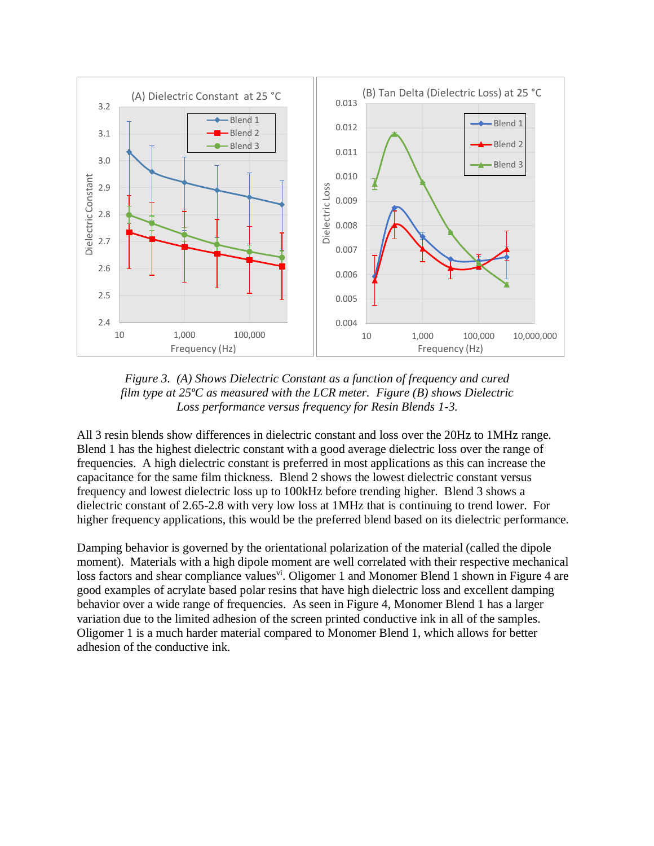

*Figure 3. (A) Shows Dielectric Constant as a function of frequency and cured film type at 25ºC as measured with the LCR meter. Figure (B) shows Dielectric Loss performance versus frequency for Resin Blends 1-3.*

All 3 resin blends show differences in dielectric constant and loss over the 20Hz to 1MHz range. Blend 1 has the highest dielectric constant with a good average dielectric loss over the range of frequencies. A high dielectric constant is preferred in most applications as this can increase the capacitance for the same film thickness. Blend 2 shows the lowest dielectric constant versus frequency and lowest dielectric loss up to 100kHz before trending higher. Blend 3 shows a dielectric constant of 2.65-2.8 with very low loss at 1MHz that is continuing to trend lower. For higher frequency applications, this would be the preferred blend based on its dielectric performance.

Damping behavior is governed by the orientational polarization of the material (called the dipole moment). Materials with a high dipole moment are well correlated with their respective mechanical loss factors and shear compliance values<sup>vi</sup>. Oligomer 1 and Monomer Blend 1 shown in Figure 4 are good examples of acrylate based polar resins that have high dielectric loss and excellent damping behavior over a wide range of frequencies. As seen in Figure 4, Monomer Blend 1 has a larger variation due to the limited adhesion of the screen printed conductive ink in all of the samples. Oligomer 1 is a much harder material compared to Monomer Blend 1, which allows for better adhesion of the conductive ink.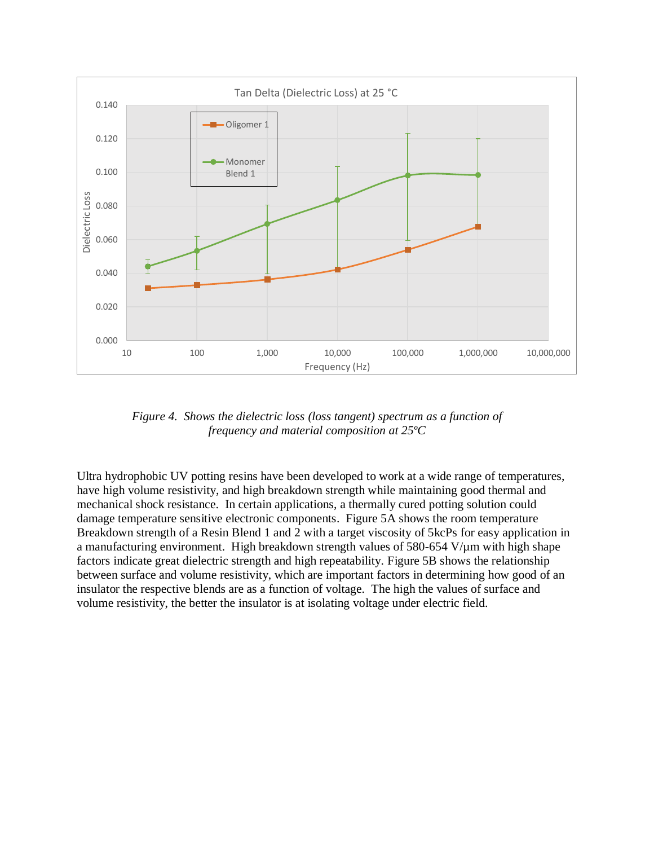

*Figure 4. Shows the dielectric loss (loss tangent) spectrum as a function of frequency and material composition at 25ºC*

Ultra hydrophobic UV potting resins have been developed to work at a wide range of temperatures, have high volume resistivity, and high breakdown strength while maintaining good thermal and mechanical shock resistance. In certain applications, a thermally cured potting solution could damage temperature sensitive electronic components. Figure 5A shows the room temperature Breakdown strength of a Resin Blend 1 and 2 with a target viscosity of 5kcPs for easy application in a manufacturing environment. High breakdown strength values of  $580-654$  V/ $\mu$ m with high shape factors indicate great dielectric strength and high repeatability. Figure 5B shows the relationship between surface and volume resistivity, which are important factors in determining how good of an insulator the respective blends are as a function of voltage. The high the values of surface and volume resistivity, the better the insulator is at isolating voltage under electric field.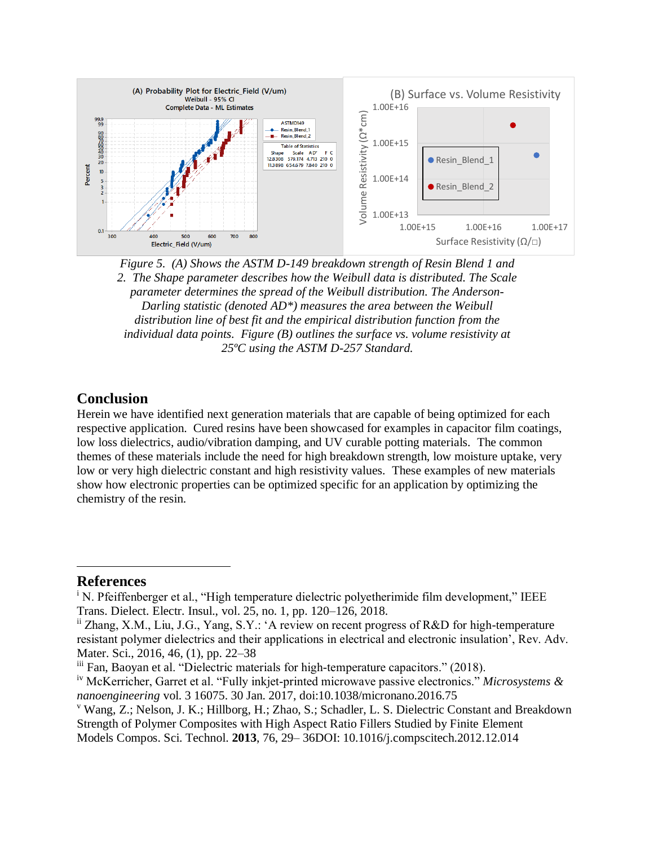

*Figure 5. (A) Shows the ASTM D-149 breakdown strength of Resin Blend 1 and 2. The Shape parameter describes how the Weibull data is distributed. The Scale parameter determines the spread of the Weibull distribution. The Anderson-Darling statistic (denoted AD\*) measures the area between the Weibull distribution line of best fit and the empirical distribution function from the individual data points. Figure (B) outlines the surface vs. volume resistivity at 25ºC using the ASTM D-257 Standard.*

#### **Conclusion**

Herein we have identified next generation materials that are capable of being optimized for each respective application. Cured resins have been showcased for examples in capacitor film coatings, low loss dielectrics, audio/vibration damping, and UV curable potting materials. The common themes of these materials include the need for high breakdown strength, low moisture uptake, very low or very high dielectric constant and high resistivity values. These examples of new materials show how electronic properties can be optimized specific for an application by optimizing the chemistry of the resin.

#### **References**

 $\overline{\phantom{a}}$ 

<sup>&</sup>lt;sup>i</sup> N. Pfeiffenberger et al., "High temperature dielectric polyetherimide film development," IEEE Trans. Dielect. Electr. Insul., vol. 25, no. 1, pp. 120–126, 2018.

ii Zhang, X.M., Liu, J.G., Yang, S.Y.: 'A review on recent progress of R&D for high-temperature resistant polymer dielectrics and their applications in electrical and electronic insulation', Rev. Adv. Mater. Sci., 2016, 46, (1), pp. 22–38

iii Fan, Baoyan et al. "Dielectric materials for high-temperature capacitors." (2018).

iv McKerricher, Garret et al. "Fully inkjet-printed microwave passive electronics." *Microsystems & nanoengineering* vol. 3 16075. 30 Jan. 2017, doi:10.1038/micronano.2016.75

<sup>v</sup> Wang, Z.; Nelson, J. K.; Hillborg, H.; Zhao, S.; Schadler, L. S. Dielectric Constant and Breakdown Strength of Polymer Composites with High Aspect Ratio Fillers Studied by Finite Element Models Compos. Sci. Technol. **2013**, 76, 29– 36DOI: 10.1016/j.compscitech.2012.12.014